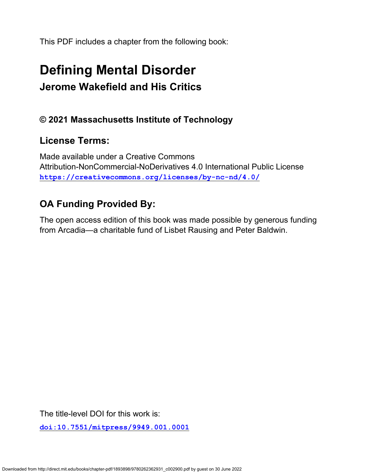This PDF includes a chapter from the following book:

# **Defining Mental Disorder Jerome Wakefield and His Critics**

#### **© 2021 Massachusetts Institute of Technology**

### **License Terms:**

Made available under a Creative Commons Attribution-NonCommercial-NoDerivatives 4.0 International Public License **<https://creativecommons.org/licenses/by-nc-nd/4.0/>**

## **OA Funding Provided By:**

The open access edition of this book was made possible by generous funding from Arcadia—a charitable fund of Lisbet Rausing and Peter Baldwin.

The title-level DOI for this work is:

**[doi:10.7551/mitpress/9949.001.0001](https://doi.org/10.7551/mitpress/9949.001.0001)**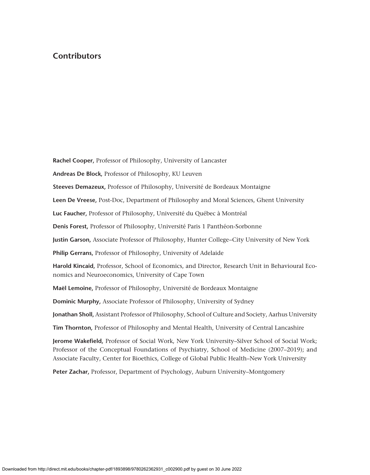#### **Contributors**

**Rachel Cooper,** Professor of Philosophy, University of Lancaster

**Andreas De Block,** Professor of Philosophy, KU Leuven

**Steeves Demazeux,** Professor of Philosophy, Université de Bordeaux Montaigne

**Leen De Vreese,** Post-Doc, Department of Philosophy and Moral Sciences, Ghent University

**Luc Faucher,** Professor of Philosophy, Université du Québec à Montréal

**Denis Forest,** Professor of Philosophy, Université Paris 1 Panthéon-Sorbonne

**Justin Garson,** Associate Professor of Philosophy, Hunter College−City University of New York

**Philip Gerrans,** Professor of Philosophy, University of Adelaide

**Harold Kincaid,** Professor, School of Economics, and Director, Research Unit in Behavioural Economics and Neuroeconomics, University of Cape Town

**Maël Lemoine,** Professor of Philosophy, Université de Bordeaux Montaigne

**Dominic Murphy,** Associate Professor of Philosophy, University of Sydney

**Jonathan Sholl,** Assistant Professor of Philosophy, School of Culture and Society, Aarhus University

**Tim Thornton,** Professor of Philosophy and Mental Health, University of Central Lancashire

**Jerome Wakefield,** Professor of Social Work, New York University–Silver School of Social Work; Professor of the Conceptual Foundations of Psychiatry, School of Medicine (2007–2019); and Associate Faculty, Center for Bioethics, College of Global Public Health–New York University

**Peter Zachar,** Professor, Department of Psychology, Auburn University–Montgomery